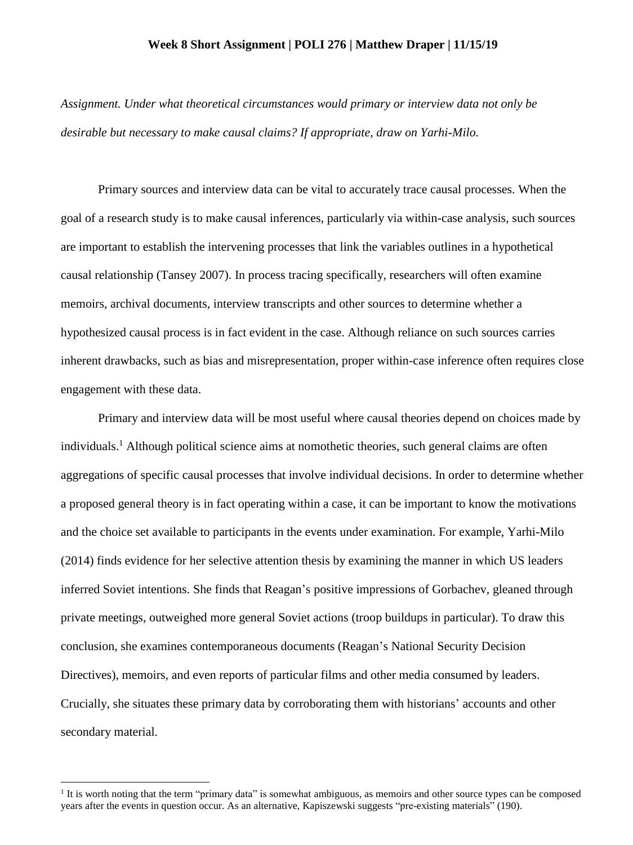## **Week 8 Short Assignment | POLI 276 | Matthew Draper | 11/15/19**

*Assignment. Under what theoretical circumstances would primary or interview data not only be desirable but necessary to make causal claims? If appropriate, draw on Yarhi-Milo.*

Primary sources and interview data can be vital to accurately trace causal processes. When the goal of a research study is to make causal inferences, particularly via within-case analysis, such sources are important to establish the intervening processes that link the variables outlines in a hypothetical causal relationship (Tansey 2007). In process tracing specifically, researchers will often examine memoirs, archival documents, interview transcripts and other sources to determine whether a hypothesized causal process is in fact evident in the case. Although reliance on such sources carries inherent drawbacks, such as bias and misrepresentation, proper within-case inference often requires close engagement with these data.

Primary and interview data will be most useful where causal theories depend on choices made by individuals.<sup>1</sup> Although political science aims at nomothetic theories, such general claims are often aggregations of specific causal processes that involve individual decisions. In order to determine whether a proposed general theory is in fact operating within a case, it can be important to know the motivations and the choice set available to participants in the events under examination. For example, Yarhi-Milo (2014) finds evidence for her selective attention thesis by examining the manner in which US leaders inferred Soviet intentions. She finds that Reagan's positive impressions of Gorbachev, gleaned through private meetings, outweighed more general Soviet actions (troop buildups in particular). To draw this conclusion, she examines contemporaneous documents (Reagan's National Security Decision Directives), memoirs, and even reports of particular films and other media consumed by leaders. Crucially, she situates these primary data by corroborating them with historians' accounts and other secondary material.

 $\overline{a}$ 

<sup>&</sup>lt;sup>1</sup> It is worth noting that the term "primary data" is somewhat ambiguous, as memoirs and other source types can be composed years after the events in question occur. As an alternative, Kapiszewski suggests "pre-existing materials" (190).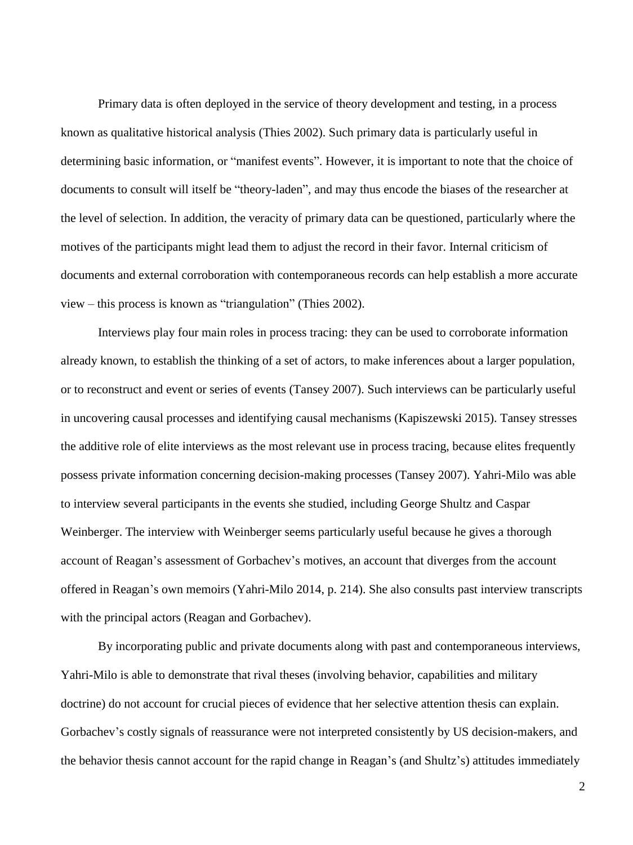Primary data is often deployed in the service of theory development and testing, in a process known as qualitative historical analysis (Thies 2002). Such primary data is particularly useful in determining basic information, or "manifest events". However, it is important to note that the choice of documents to consult will itself be "theory-laden", and may thus encode the biases of the researcher at the level of selection. In addition, the veracity of primary data can be questioned, particularly where the motives of the participants might lead them to adjust the record in their favor. Internal criticism of documents and external corroboration with contemporaneous records can help establish a more accurate view – this process is known as "triangulation" (Thies 2002).

Interviews play four main roles in process tracing: they can be used to corroborate information already known, to establish the thinking of a set of actors, to make inferences about a larger population, or to reconstruct and event or series of events (Tansey 2007). Such interviews can be particularly useful in uncovering causal processes and identifying causal mechanisms (Kapiszewski 2015). Tansey stresses the additive role of elite interviews as the most relevant use in process tracing, because elites frequently possess private information concerning decision-making processes (Tansey 2007). Yahri-Milo was able to interview several participants in the events she studied, including George Shultz and Caspar Weinberger. The interview with Weinberger seems particularly useful because he gives a thorough account of Reagan's assessment of Gorbachev's motives, an account that diverges from the account offered in Reagan's own memoirs (Yahri-Milo 2014, p. 214). She also consults past interview transcripts with the principal actors (Reagan and Gorbachev).

By incorporating public and private documents along with past and contemporaneous interviews, Yahri-Milo is able to demonstrate that rival theses (involving behavior, capabilities and military doctrine) do not account for crucial pieces of evidence that her selective attention thesis can explain. Gorbachev's costly signals of reassurance were not interpreted consistently by US decision-makers, and the behavior thesis cannot account for the rapid change in Reagan's (and Shultz's) attitudes immediately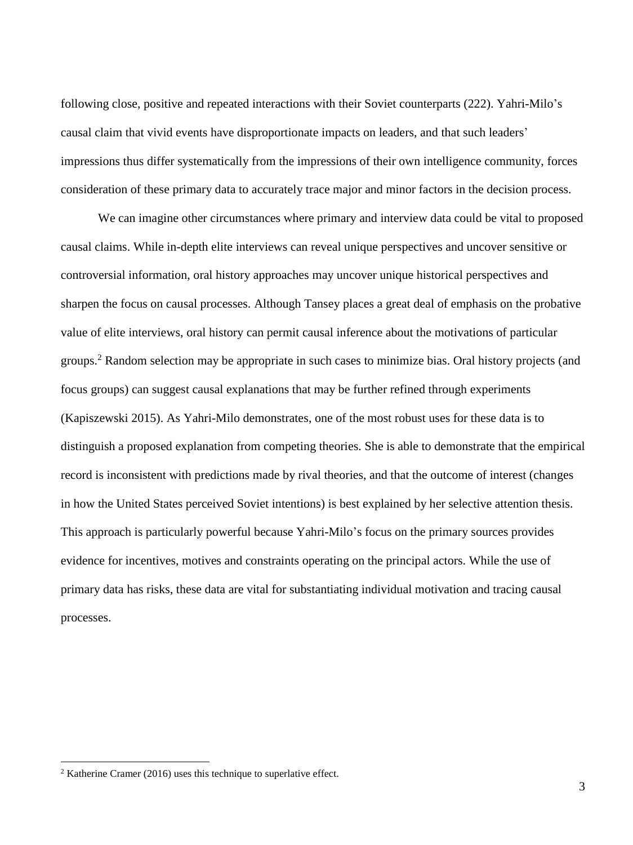following close, positive and repeated interactions with their Soviet counterparts (222). Yahri-Milo's causal claim that vivid events have disproportionate impacts on leaders, and that such leaders' impressions thus differ systematically from the impressions of their own intelligence community, forces consideration of these primary data to accurately trace major and minor factors in the decision process.

We can imagine other circumstances where primary and interview data could be vital to proposed causal claims. While in-depth elite interviews can reveal unique perspectives and uncover sensitive or controversial information, oral history approaches may uncover unique historical perspectives and sharpen the focus on causal processes. Although Tansey places a great deal of emphasis on the probative value of elite interviews, oral history can permit causal inference about the motivations of particular groups.<sup>2</sup> Random selection may be appropriate in such cases to minimize bias. Oral history projects (and focus groups) can suggest causal explanations that may be further refined through experiments (Kapiszewski 2015). As Yahri-Milo demonstrates, one of the most robust uses for these data is to distinguish a proposed explanation from competing theories. She is able to demonstrate that the empirical record is inconsistent with predictions made by rival theories, and that the outcome of interest (changes in how the United States perceived Soviet intentions) is best explained by her selective attention thesis. This approach is particularly powerful because Yahri-Milo's focus on the primary sources provides evidence for incentives, motives and constraints operating on the principal actors. While the use of primary data has risks, these data are vital for substantiating individual motivation and tracing causal processes.

 $\overline{a}$ 

<sup>2</sup> Katherine Cramer (2016) uses this technique to superlative effect.